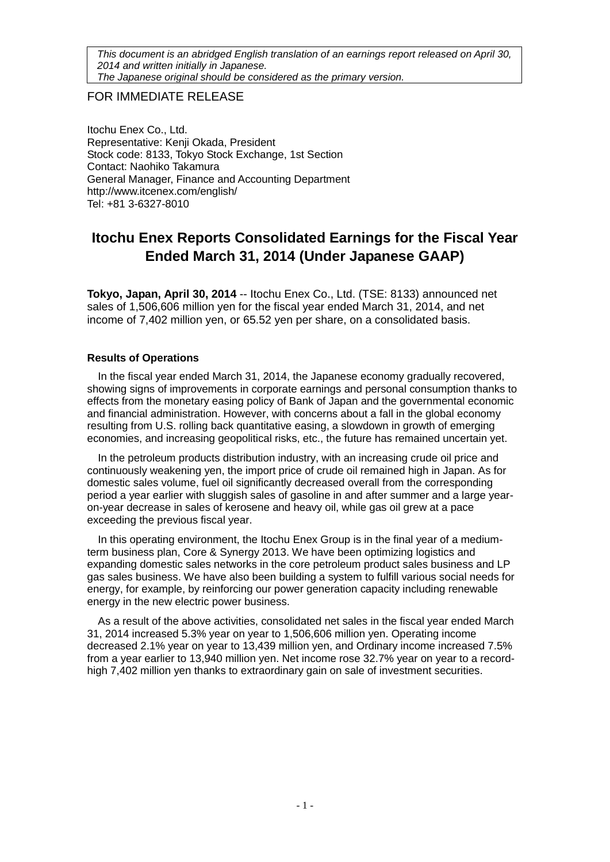*This document is an abridged English translation of an earnings report released on April 30, 2014 and written initially in Japanese. The Japanese original should be considered as the primary version.*

# FOR IMMEDIATE RELEASE

Itochu Enex Co., Ltd. Representative: Kenji Okada, President Stock code: 8133, Tokyo Stock Exchange, 1st Section Contact: Naohiko Takamura General Manager, Finance and Accounting Department http://www.itcenex.com/english/ Tel: +81 3-6327-8010

# **Itochu Enex Reports Consolidated Earnings for the Fiscal Year Ended March 31, 2014 (Under Japanese GAAP)**

**Tokyo, Japan, April 30, 2014** -- Itochu Enex Co., Ltd. (TSE: 8133) announced net sales of 1,506,606 million yen for the fiscal year ended March 31, 2014, and net income of 7,402 million yen, or 65.52 yen per share, on a consolidated basis.

# **Results of Operations**

In the fiscal year ended March 31, 2014, the Japanese economy gradually recovered, showing signs of improvements in corporate earnings and personal consumption thanks to effects from the monetary easing policy of Bank of Japan and the governmental economic and financial administration. However, with concerns about a fall in the global economy resulting from U.S. rolling back quantitative easing, a slowdown in growth of emerging economies, and increasing geopolitical risks, etc., the future has remained uncertain yet.

In the petroleum products distribution industry, with an increasing crude oil price and continuously weakening yen, the import price of crude oil remained high in Japan. As for domestic sales volume, fuel oil significantly decreased overall from the corresponding period a year earlier with sluggish sales of gasoline in and after summer and a large yearon-year decrease in sales of kerosene and heavy oil, while gas oil grew at a pace exceeding the previous fiscal year.

In this operating environment, the Itochu Enex Group is in the final year of a mediumterm business plan, Core & Synergy 2013. We have been optimizing logistics and expanding domestic sales networks in the core petroleum product sales business and LP gas sales business. We have also been building a system to fulfill various social needs for energy, for example, by reinforcing our power generation capacity including renewable energy in the new electric power business.

As a result of the above activities, consolidated net sales in the fiscal year ended March 31, 2014 increased 5.3% year on year to 1,506,606 million yen. Operating income decreased 2.1% year on year to 13,439 million yen, and Ordinary income increased 7.5% from a year earlier to 13,940 million yen. Net income rose 32.7% year on year to a recordhigh 7,402 million yen thanks to extraordinary gain on sale of investment securities.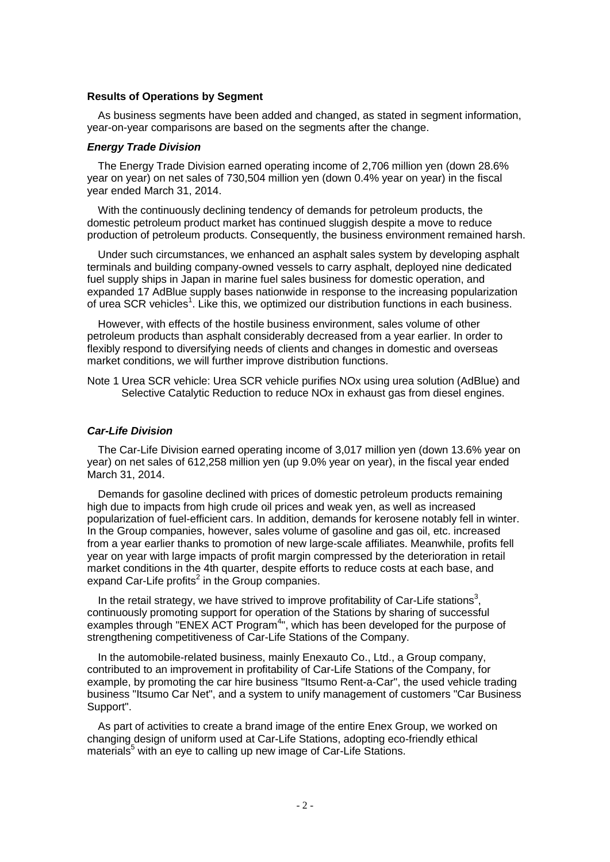### **Results of Operations by Segment**

As business segments have been added and changed, as stated in segment information, year-on-year comparisons are based on the segments after the change.

### *Energy Trade Division*

The Energy Trade Division earned operating income of 2,706 million yen (down 28.6% year on year) on net sales of 730,504 million yen (down 0.4% year on year) in the fiscal year ended March 31, 2014.

With the continuously declining tendency of demands for petroleum products, the domestic petroleum product market has continued sluggish despite a move to reduce production of petroleum products. Consequently, the business environment remained harsh.

Under such circumstances, we enhanced an asphalt sales system by developing asphalt terminals and building company-owned vessels to carry asphalt, deployed nine dedicated fuel supply ships in Japan in marine fuel sales business for domestic operation, and expanded 17 AdBlue supply bases nationwide in response to the increasing popularization of urea SCR vehicles<sup>1</sup>. Like this, we optimized our distribution functions in each business.

However, with effects of the hostile business environment, sales volume of other petroleum products than asphalt considerably decreased from a year earlier. In order to flexibly respond to diversifying needs of clients and changes in domestic and overseas market conditions, we will further improve distribution functions.

Note 1 Urea SCR vehicle: Urea SCR vehicle purifies NOx using urea solution (AdBlue) and Selective Catalytic Reduction to reduce NOx in exhaust gas from diesel engines.

## *Car-Life Division*

The Car-Life Division earned operating income of 3,017 million yen (down 13.6% year on year) on net sales of 612,258 million yen (up 9.0% year on year), in the fiscal year ended March 31, 2014.

Demands for gasoline declined with prices of domestic petroleum products remaining high due to impacts from high crude oil prices and weak yen, as well as increased popularization of fuel-efficient cars. In addition, demands for kerosene notably fell in winter. In the Group companies, however, sales volume of gasoline and gas oil, etc. increased from a year earlier thanks to promotion of new large-scale affiliates. Meanwhile, profits fell year on year with large impacts of profit margin compressed by the deterioration in retail market conditions in the 4th quarter, despite efforts to reduce costs at each base, and expand Car-Life profits<sup>2</sup> in the Group companies.

In the retail strategy, we have strived to improve profitability of Car-Life stations<sup>3</sup>, continuously promoting support for operation of the Stations by sharing of successful examples through "ENEX ACT Program<sup>4</sup>", which has been developed for the purpose of strengthening competitiveness of Car-Life Stations of the Company.

In the automobile-related business, mainly Enexauto Co., Ltd., a Group company, contributed to an improvement in profitability of Car-Life Stations of the Company, for example, by promoting the car hire business "Itsumo Rent-a-Car", the used vehicle trading business "Itsumo Car Net", and a system to unify management of customers "Car Business Support".

As part of activities to create a brand image of the entire Enex Group, we worked on changing design of uniform used at Car-Life Stations, adopting eco-friendly ethical materials<sup>5</sup> with an eye to calling up new image of Car-Life Stations.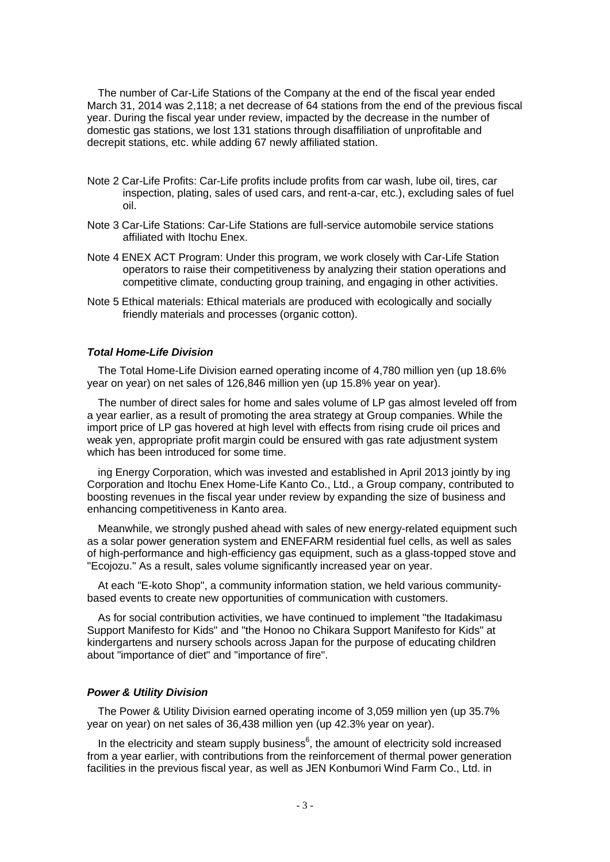The number of Car-Life Stations of the Company at the end of the fiscal year ended March 31, 2014 was 2,118; a net decrease of 64 stations from the end of the previous fiscal year. During the fiscal year under review, impacted by the decrease in the number of domestic gas stations, we lost 131 stations through disaffiliation of unprofitable and decrepit stations, etc. while adding 67 newly affiliated station.

- Note 2 Car-Life Profits: Car-Life profits include profits from car wash, lube oil, tires, car inspection, plating, sales of used cars, and rent-a-car, etc.), excluding sales of fuel oil.
- Note 3 Car-Life Stations: Car-Life Stations are full-service automobile service stations affiliated with Itochu Enex.
- Note 4 ENEX ACT Program: Under this program, we work closely with Car-Life Station operators to raise their competitiveness by analyzing their station operations and competitive climate, conducting group training, and engaging in other activities.
- Note 5 Ethical materials: Ethical materials are produced with ecologically and socially friendly materials and processes (organic cotton).

### *Total Home-Life Division*

The Total Home-Life Division earned operating income of 4,780 million yen (up 18.6% year on year) on net sales of 126,846 million yen (up 15.8% year on year).

The number of direct sales for home and sales volume of LP gas almost leveled off from a year earlier, as a result of promoting the area strategy at Group companies. While the import price of LP gas hovered at high level with effects from rising crude oil prices and weak yen, appropriate profit margin could be ensured with gas rate adjustment system which has been introduced for some time.

ing Energy Corporation, which was invested and established in April 2013 jointly by ing Corporation and Itochu Enex Home-Life Kanto Co., Ltd., a Group company, contributed to boosting revenues in the fiscal year under review by expanding the size of business and enhancing competitiveness in Kanto area.

Meanwhile, we strongly pushed ahead with sales of new energy-related equipment such as a solar power generation system and ENEFARM residential fuel cells, as well as sales of high-performance and high-efficiency gas equipment, such as a glass-topped stove and "Ecojozu." As a result, sales volume significantly increased year on year.

At each "E-koto Shop", a community information station, we held various communitybased events to create new opportunities of communication with customers.

As for social contribution activities, we have continued to implement "the Itadakimasu Support Manifesto for Kids" and "the Honoo no Chikara Support Manifesto for Kids" at kindergartens and nursery schools across Japan for the purpose of educating children about "importance of diet" and "importance of fire".

### *Power & Utility Division*

The Power & Utility Division earned operating income of 3,059 million yen (up 35.7% year on year) on net sales of 36,438 million yen (up 42.3% year on year).

In the electricity and steam supply business $<sup>6</sup>$ , the amount of electricity sold increased</sup> from a year earlier, with contributions from the reinforcement of thermal power generation facilities in the previous fiscal year, as well as JEN Konbumori Wind Farm Co., Ltd. in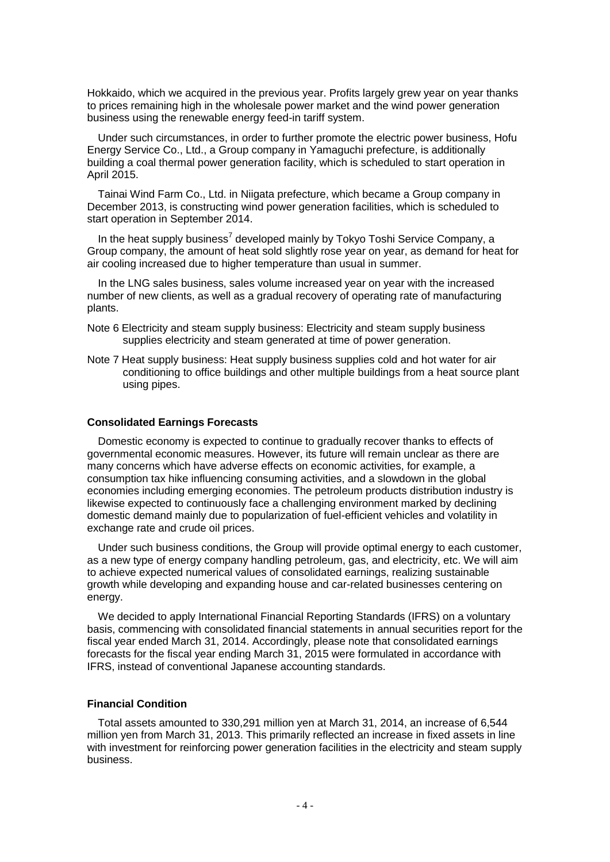Hokkaido, which we acquired in the previous year. Profits largely grew year on year thanks to prices remaining high in the wholesale power market and the wind power generation business using the renewable energy feed-in tariff system.

Under such circumstances, in order to further promote the electric power business, Hofu Energy Service Co., Ltd., a Group company in Yamaguchi prefecture, is additionally building a coal thermal power generation facility, which is scheduled to start operation in April 2015.

Tainai Wind Farm Co., Ltd. in Niigata prefecture, which became a Group company in December 2013, is constructing wind power generation facilities, which is scheduled to start operation in September 2014.

In the heat supply business<sup>7</sup> developed mainly by Tokyo Toshi Service Company, a Group company, the amount of heat sold slightly rose year on year, as demand for heat for air cooling increased due to higher temperature than usual in summer.

In the LNG sales business, sales volume increased year on year with the increased number of new clients, as well as a gradual recovery of operating rate of manufacturing plants.

- Note 6 Electricity and steam supply business: Electricity and steam supply business supplies electricity and steam generated at time of power generation.
- Note 7 Heat supply business: Heat supply business supplies cold and hot water for air conditioning to office buildings and other multiple buildings from a heat source plant using pipes.

### **Consolidated Earnings Forecasts**

Domestic economy is expected to continue to gradually recover thanks to effects of governmental economic measures. However, its future will remain unclear as there are many concerns which have adverse effects on economic activities, for example, a consumption tax hike influencing consuming activities, and a slowdown in the global economies including emerging economies. The petroleum products distribution industry is likewise expected to continuously face a challenging environment marked by declining domestic demand mainly due to popularization of fuel-efficient vehicles and volatility in exchange rate and crude oil prices.

Under such business conditions, the Group will provide optimal energy to each customer, as a new type of energy company handling petroleum, gas, and electricity, etc. We will aim to achieve expected numerical values of consolidated earnings, realizing sustainable growth while developing and expanding house and car-related businesses centering on energy.

We decided to apply International Financial Reporting Standards (IFRS) on a voluntary basis, commencing with consolidated financial statements in annual securities report for the fiscal year ended March 31, 2014. Accordingly, please note that consolidated earnings forecasts for the fiscal year ending March 31, 2015 were formulated in accordance with IFRS, instead of conventional Japanese accounting standards.

### **Financial Condition**

Total assets amounted to 330,291 million yen at March 31, 2014, an increase of 6,544 million yen from March 31, 2013. This primarily reflected an increase in fixed assets in line with investment for reinforcing power generation facilities in the electricity and steam supply business.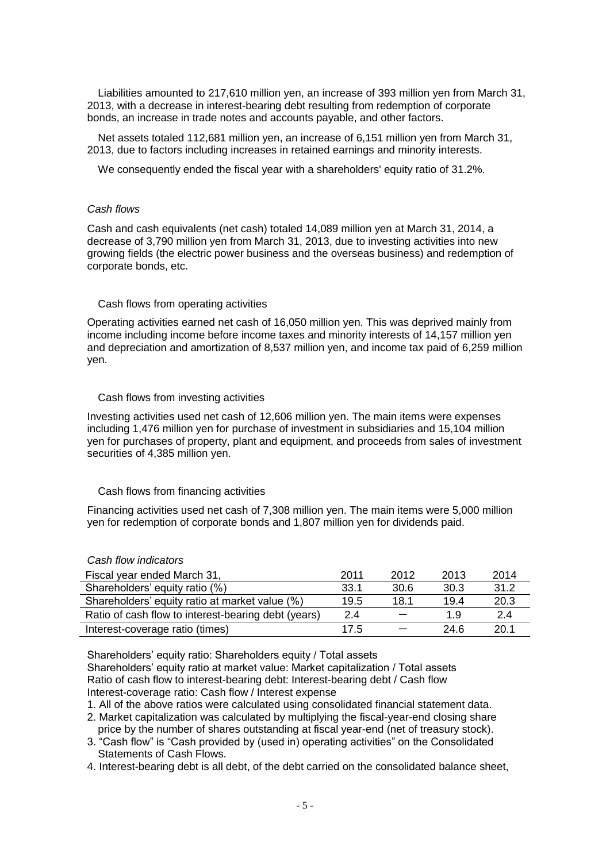Liabilities amounted to 217,610 million yen, an increase of 393 million yen from March 31, 2013, with a decrease in interest-bearing debt resulting from redemption of corporate bonds, an increase in trade notes and accounts payable, and other factors.

Net assets totaled 112,681 million yen, an increase of 6,151 million yen from March 31, 2013, due to factors including increases in retained earnings and minority interests.

We consequently ended the fiscal year with a shareholders' equity ratio of 31.2%.

## *Cash flows*

Cash and cash equivalents (net cash) totaled 14,089 million yen at March 31, 2014, a decrease of 3,790 million yen from March 31, 2013, due to investing activities into new growing fields (the electric power business and the overseas business) and redemption of corporate bonds, etc.

## Cash flows from operating activities

Operating activities earned net cash of 16,050 million yen. This was deprived mainly from income including income before income taxes and minority interests of 14,157 million yen and depreciation and amortization of 8,537 million yen, and income tax paid of 6,259 million yen.

## Cash flows from investing activities

Investing activities used net cash of 12,606 million yen. The main items were expenses including 1,476 million yen for purchase of investment in subsidiaries and 15,104 million yen for purchases of property, plant and equipment, and proceeds from sales of investment securities of 4,385 million yen.

# Cash flows from financing activities

Financing activities used net cash of 7,308 million yen. The main items were 5,000 million yen for redemption of corporate bonds and 1,807 million yen for dividends paid.

# *Cash flow indicators*

| Fiscal year ended March 31,                         | 2011 | 2012 | 2013 | 2014 |
|-----------------------------------------------------|------|------|------|------|
| Shareholders' equity ratio (%)                      | 33.1 | 30.6 | 30.3 | 31.2 |
| Shareholders' equity ratio at market value (%)      | 19.5 | 18.1 | 19.4 | 20.3 |
| Ratio of cash flow to interest-bearing debt (years) | 2.4  |      | 1.9  | 2.4  |
| Interest-coverage ratio (times)                     | 17.5 |      | 24.6 | 20.1 |

Shareholders' equity ratio: Shareholders equity / Total assets Shareholders' equity ratio at market value: Market capitalization / Total assets Ratio of cash flow to interest-bearing debt: Interest-bearing debt / Cash flow Interest-coverage ratio: Cash flow / Interest expense

1. All of the above ratios were calculated using consolidated financial statement data.

- 2. Market capitalization was calculated by multiplying the fiscal-year-end closing share price by the number of shares outstanding at fiscal year-end (net of treasury stock).
- 3. "Cash flow" is "Cash provided by (used in) operating activities" on the Consolidated Statements of Cash Flows.
- 4. Interest-bearing debt is all debt, of the debt carried on the consolidated balance sheet,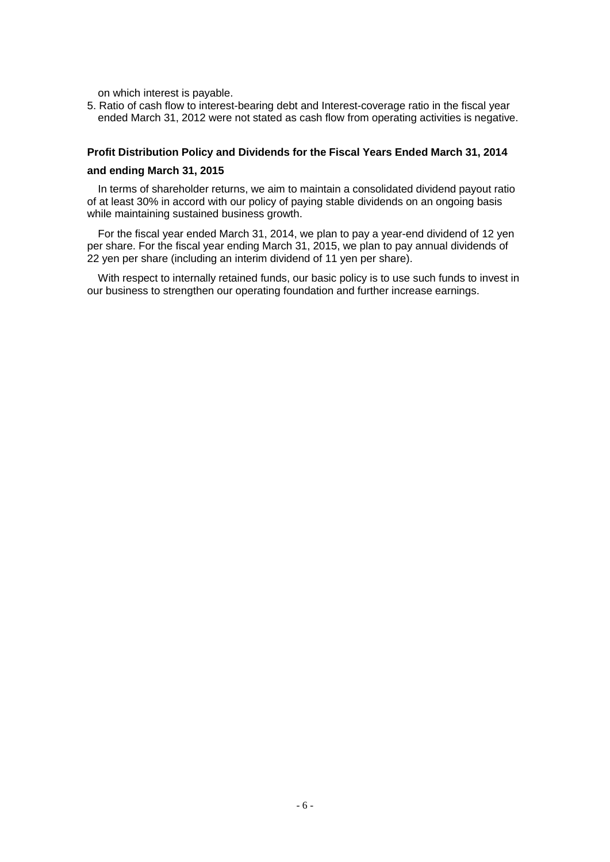on which interest is payable.

5. Ratio of cash flow to interest-bearing debt and Interest-coverage ratio in the fiscal year ended March 31, 2012 were not stated as cash flow from operating activities is negative.

## **Profit Distribution Policy and Dividends for the Fiscal Years Ended March 31, 2014**

### **and ending March 31, 2015**

In terms of shareholder returns, we aim to maintain a consolidated dividend payout ratio of at least 30% in accord with our policy of paying stable dividends on an ongoing basis while maintaining sustained business growth.

For the fiscal year ended March 31, 2014, we plan to pay a year-end dividend of 12 yen per share. For the fiscal year ending March 31, 2015, we plan to pay annual dividends of 22 yen per share (including an interim dividend of 11 yen per share).

With respect to internally retained funds, our basic policy is to use such funds to invest in our business to strengthen our operating foundation and further increase earnings.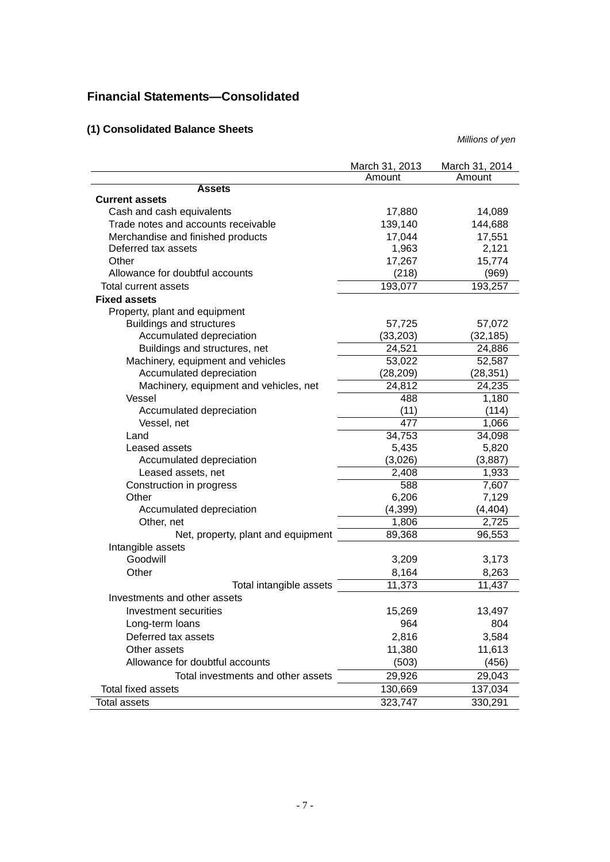# **Financial Statements—Consolidated**

# **(1) Consolidated Balance Sheets**

|                                        | March 31, 2013 | March 31, 2014 |
|----------------------------------------|----------------|----------------|
|                                        | Amount         | Amount         |
| <b>Assets</b><br><b>Current assets</b> |                |                |
| Cash and cash equivalents              | 17,880         | 14,089         |
| Trade notes and accounts receivable    | 139,140        | 144,688        |
| Merchandise and finished products      | 17,044         | 17,551         |
| Deferred tax assets                    | 1,963          | 2,121          |
| Other                                  | 17,267         | 15,774         |
| Allowance for doubtful accounts        | (218)          | (969)          |
| Total current assets                   | 193,077        | 193,257        |
| <b>Fixed assets</b>                    |                |                |
| Property, plant and equipment          |                |                |
| <b>Buildings and structures</b>        | 57,725         | 57,072         |
| Accumulated depreciation               | (33, 203)      | (32, 185)      |
| Buildings and structures, net          | 24,521         | 24,886         |
| Machinery, equipment and vehicles      | 53,022         | 52,587         |
| Accumulated depreciation               | (28, 209)      | (28, 351)      |
| Machinery, equipment and vehicles, net | 24,812         | 24,235         |
| Vessel                                 | 488            | 1,180          |
| Accumulated depreciation               | (11)           | (114)          |
| Vessel, net                            | 477            | 1,066          |
| Land                                   | 34,753         | 34,098         |
| Leased assets                          | 5,435          | 5,820          |
| Accumulated depreciation               | (3,026)        | (3,887)        |
| Leased assets, net                     | 2,408          | 1,933          |
| Construction in progress               | 588            | 7,607          |
| Other                                  | 6,206          | 7,129          |
| Accumulated depreciation               | (4, 399)       | (4, 404)       |
| Other, net                             | 1,806          | 2,725          |
| Net, property, plant and equipment     | 89,368         | 96,553         |
| Intangible assets                      |                |                |
| Goodwill                               | 3,209          | 3,173          |
| Other                                  | 8,164          | 8,263          |
| Total intangible assets                | 11,373         | 11,437         |
| Investments and other assets           |                |                |
| Investment securities                  | 15,269         | 13,497         |
| Long-term loans                        | 964            | 804            |
| Deferred tax assets                    | 2,816          | 3,584          |
| Other assets                           | 11,380         | 11,613         |
| Allowance for doubtful accounts        | (503)          | (456)          |
| Total investments and other assets     | 29,926         | 29,043         |
| Total fixed assets                     | 130,669        | 137,034        |
| Total assets                           | 323,747        | 330,291        |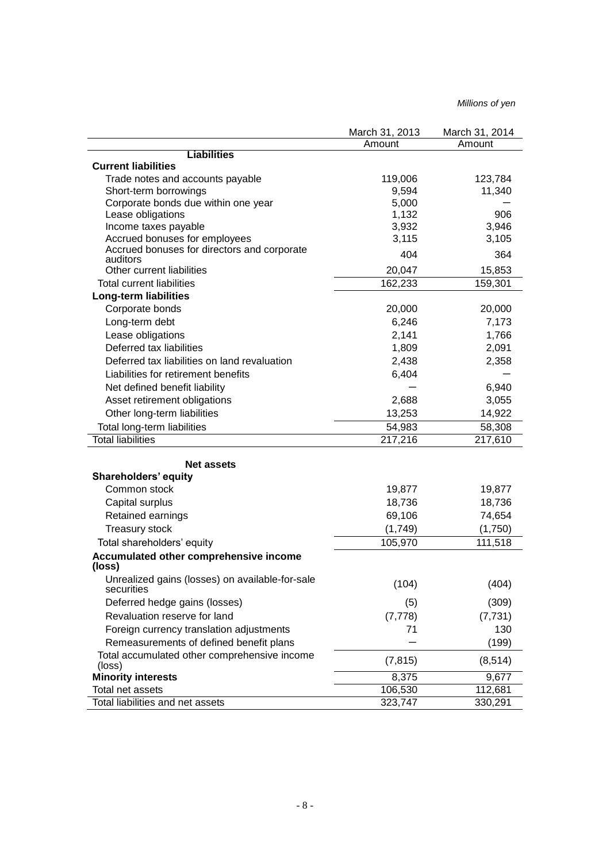|                                                               | March 31, 2013 | March 31, 2014 |
|---------------------------------------------------------------|----------------|----------------|
|                                                               | Amount         | Amount         |
| <b>Liabilities</b>                                            |                |                |
| <b>Current liabilities</b>                                    |                |                |
| Trade notes and accounts payable                              | 119,006        | 123,784        |
| Short-term borrowings<br>Corporate bonds due within one year  | 9,594<br>5,000 | 11,340         |
| Lease obligations                                             | 1,132          | 906            |
| Income taxes payable                                          | 3,932          | 3,946          |
| Accrued bonuses for employees                                 | 3,115          | 3,105          |
| Accrued bonuses for directors and corporate<br>auditors       | 404            | 364            |
| Other current liabilities                                     | 20,047         | 15,853         |
| <b>Total current liabilities</b>                              | 162,233        | 159,301        |
| <b>Long-term liabilities</b>                                  |                |                |
| Corporate bonds                                               | 20,000         | 20,000         |
| Long-term debt                                                | 6,246          | 7,173          |
| Lease obligations                                             | 2,141          | 1,766          |
| Deferred tax liabilities                                      | 1,809          | 2,091          |
| Deferred tax liabilities on land revaluation                  | 2,438          | 2,358          |
| Liabilities for retirement benefits                           | 6,404          |                |
| Net defined benefit liability                                 |                | 6,940          |
| Asset retirement obligations                                  | 2,688          | 3,055          |
| Other long-term liabilities                                   | 13,253         | 14,922         |
| Total long-term liabilities                                   | 54,983         | 58,308         |
| <b>Total liabilities</b>                                      | 217,216        | 217,610        |
|                                                               |                |                |
| <b>Net assets</b>                                             |                |                |
| <b>Shareholders' equity</b>                                   |                |                |
| Common stock                                                  | 19,877         | 19,877         |
| Capital surplus                                               | 18,736         | 18,736         |
| Retained earnings                                             | 69,106         | 74,654         |
| Treasury stock                                                | (1,749)        | (1,750)        |
| Total shareholders' equity                                    | 105,970        | 111,518        |
| Accumulated other comprehensive income<br>(loss)              |                |                |
| Unrealized gains (losses) on available-for-sale<br>securities | (104)          | (404)          |
| Deferred hedge gains (losses)                                 | (5)            | (309)          |
| Revaluation reserve for land                                  | (7, 778)       | (7, 731)       |
| Foreign currency translation adjustments                      | 71             | 130            |
| Remeasurements of defined benefit plans                       |                | (199)          |
| Total accumulated other comprehensive income<br>(loss)        | (7, 815)       | (8, 514)       |
| <b>Minority interests</b>                                     | 8,375          | 9,677          |
| Total net assets                                              | 106,530        | 112,681        |
| Total liabilities and net assets                              | 323,747        | 330,291        |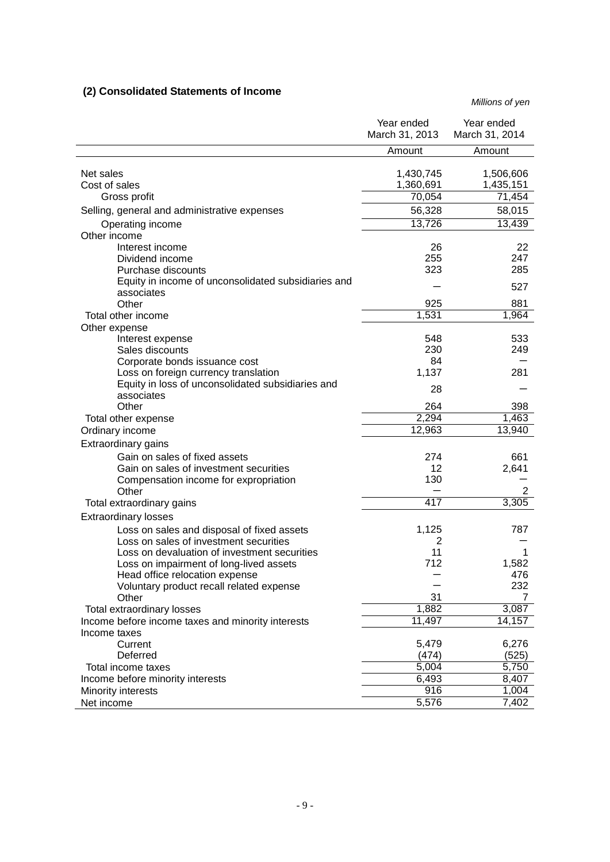# **(2) Consolidated Statements of Income**

|                                                     | Year ended<br>March 31, 2013 | Year ended<br>March 31, 2014 |
|-----------------------------------------------------|------------------------------|------------------------------|
|                                                     | Amount                       | Amount                       |
|                                                     |                              |                              |
| Net sales                                           | 1,430,745                    | 1,506,606                    |
| Cost of sales                                       | 1,360,691                    | 1,435,151                    |
| Gross profit                                        | $70,05\overline{4}$          | 71,454                       |
| Selling, general and administrative expenses        | 56,328                       | 58,015                       |
| Operating income                                    | 13,726                       | 13,439                       |
| Other income                                        |                              |                              |
| Interest income                                     | 26                           | 22                           |
| Dividend income                                     | 255                          | 247                          |
| Purchase discounts                                  | 323                          | 285                          |
| Equity in income of unconsolidated subsidiaries and |                              | 527                          |
| associates<br>Other                                 | 925                          | 881                          |
| Total other income                                  | 1,531                        | 1,964                        |
| Other expense                                       |                              |                              |
| Interest expense                                    | 548                          | 533                          |
| Sales discounts                                     | 230                          | 249                          |
| Corporate bonds issuance cost                       | 84                           |                              |
| Loss on foreign currency translation                | 1,137                        | 281                          |
| Equity in loss of unconsolidated subsidiaries and   |                              |                              |
| associates                                          | 28                           |                              |
| Other                                               | 264                          | 398                          |
| Total other expense                                 | 2,294                        | 1,463                        |
| Ordinary income                                     | 12,963                       | 13,940                       |
| Extraordinary gains                                 |                              |                              |
| Gain on sales of fixed assets                       | 274                          | 661                          |
| Gain on sales of investment securities              | 12                           | 2,641                        |
| Compensation income for expropriation               | 130                          |                              |
| Other                                               |                              | 2                            |
| Total extraordinary gains                           | 417                          | 3,305                        |
| <b>Extraordinary losses</b>                         |                              |                              |
| Loss on sales and disposal of fixed assets          | 1,125                        | 787                          |
| Loss on sales of investment securities              | 2                            |                              |
| Loss on devaluation of investment securities        | 11                           | 1                            |
| Loss on impairment of long-lived assets             | 712                          | 1,582                        |
| Head office relocation expense                      |                              | 476                          |
| Voluntary product recall related expense            |                              | 232                          |
| Other                                               | 31                           | 7                            |
| Total extraordinary losses                          | 1,882                        | 3,087                        |
| Income before income taxes and minority interests   | 11,497                       | 14,157                       |
| Income taxes<br>Current                             | 5,479                        | 6,276                        |
| Deferred                                            | (474)                        | (525)                        |
| Total income taxes                                  | 5,004                        | 5,750                        |
| Income before minority interests                    | 6,493                        | 8,407                        |
| Minority interests                                  | 916                          | 1,004                        |
| Net income                                          | 5,576                        | 7,402                        |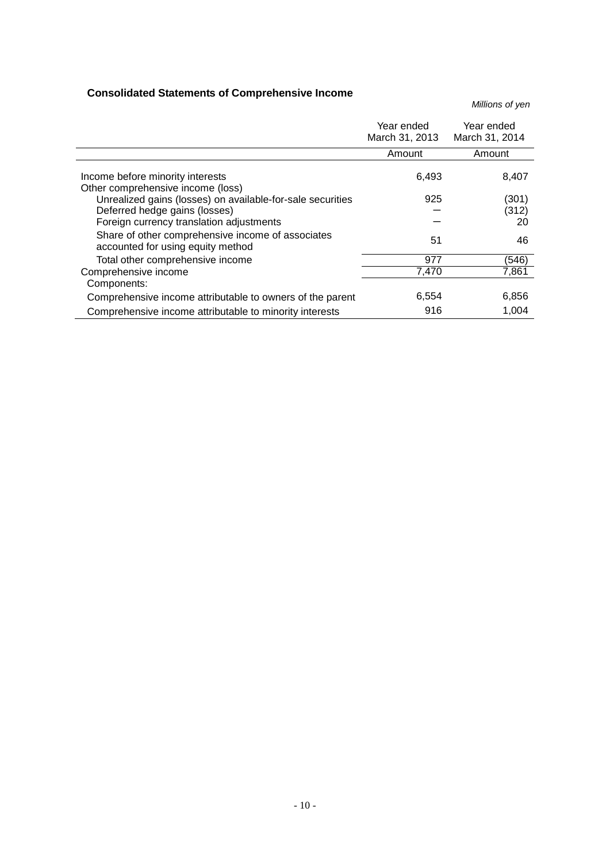# **Consolidated Statements of Comprehensive Income**

|                                                                                        | Year ended<br>March 31, 2013 | Year ended<br>March 31, 2014 |
|----------------------------------------------------------------------------------------|------------------------------|------------------------------|
|                                                                                        | Amount                       | Amount                       |
| Income before minority interests<br>Other comprehensive income (loss)                  | 6,493                        | 8,407                        |
| Unrealized gains (losses) on available-for-sale securities                             | 925                          | (301)                        |
| Deferred hedge gains (losses)                                                          |                              | (312)                        |
| Foreign currency translation adjustments                                               |                              | 20                           |
| Share of other comprehensive income of associates<br>accounted for using equity method | 51                           | 46                           |
| Total other comprehensive income                                                       | 977                          | (546)                        |
| Comprehensive income                                                                   | 7,470                        | 7,861                        |
| Components:                                                                            |                              |                              |
| Comprehensive income attributable to owners of the parent                              | 6,554                        | 6,856                        |
| Comprehensive income attributable to minority interests                                | 916                          | 1,004                        |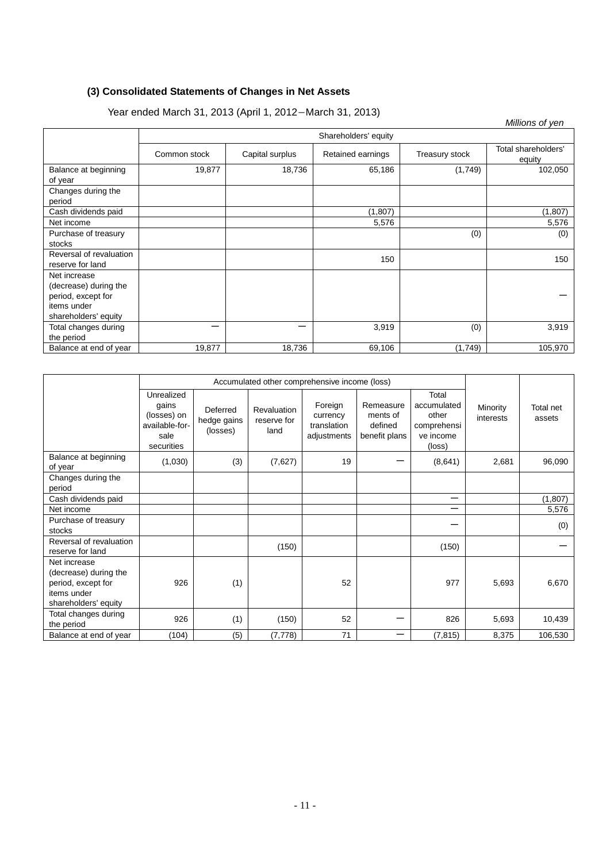# **(3) Consolidated Statements of Changes in Net Assets**

|                                 | $15a$ $51a$ $50a$ $17a$ $18a$ $19a$ $19a$ $19a$ $19a$ $19a$ $19a$ $19a$ $19a$ |                 |                   |                | Millions of yen               |  |
|---------------------------------|-------------------------------------------------------------------------------|-----------------|-------------------|----------------|-------------------------------|--|
|                                 | Shareholders' equity                                                          |                 |                   |                |                               |  |
|                                 | Common stock                                                                  | Capital surplus | Retained earnings | Treasury stock | Total shareholders'<br>equity |  |
| Balance at beginning<br>of year | 19,877                                                                        | 18,736          | 65,186            | (1,749)        | 102,050                       |  |
| Changes during the<br>period    |                                                                               |                 |                   |                |                               |  |
| Cash dividends paid             |                                                                               |                 | (1,807)           |                | (1,807)                       |  |
| Net income                      |                                                                               |                 | 5,576             |                | 5,576                         |  |
| Purchase of treasury            |                                                                               |                 |                   | (0)            | (0)                           |  |
| stocks                          |                                                                               |                 |                   |                |                               |  |
| Reversal of revaluation         |                                                                               |                 | 150               |                | 150                           |  |
| reserve for land                |                                                                               |                 |                   |                |                               |  |
| Net increase                    |                                                                               |                 |                   |                |                               |  |
| (decrease) during the           |                                                                               |                 |                   |                |                               |  |
| period, except for              |                                                                               |                 |                   |                |                               |  |
| items under                     |                                                                               |                 |                   |                |                               |  |
| shareholders' equity            |                                                                               |                 |                   |                |                               |  |
| Total changes during            | —                                                                             | —               | 3,919             | (0)            | 3,919                         |  |
| the period                      |                                                                               |                 |                   |                |                               |  |
| Balance at end of year          | 19,877                                                                        | 18,736          | 69,106            | (1,749)        | 105,970                       |  |

| Year ended March 31, 2013 (April 1, 2012–March 31, 2013) |
|----------------------------------------------------------|
|----------------------------------------------------------|

|                                                                                                    | Accumulated other comprehensive income (loss)                              |                                     |                                    |                                                   |                                                   |                                                                     |                       |                     |
|----------------------------------------------------------------------------------------------------|----------------------------------------------------------------------------|-------------------------------------|------------------------------------|---------------------------------------------------|---------------------------------------------------|---------------------------------------------------------------------|-----------------------|---------------------|
|                                                                                                    | Unrealized<br>qains<br>(losses) on<br>available-for-<br>sale<br>securities | Deferred<br>hedge gains<br>(losses) | Revaluation<br>reserve for<br>land | Foreign<br>currency<br>translation<br>adjustments | Remeasure<br>ments of<br>defined<br>benefit plans | Total<br>accumulated<br>other<br>comprehensi<br>ve income<br>(loss) | Minority<br>interests | Total net<br>assets |
| Balance at beginning<br>of year                                                                    | (1,030)                                                                    | (3)                                 | (7,627)                            | 19                                                |                                                   | (8,641)                                                             | 2,681                 | 96,090              |
| Changes during the<br>period                                                                       |                                                                            |                                     |                                    |                                                   |                                                   |                                                                     |                       |                     |
| Cash dividends paid                                                                                |                                                                            |                                     |                                    |                                                   |                                                   | —                                                                   |                       | (1, 807)            |
| Net income                                                                                         |                                                                            |                                     |                                    |                                                   |                                                   | —                                                                   |                       | 5,576               |
| Purchase of treasury<br>stocks                                                                     |                                                                            |                                     |                                    |                                                   |                                                   |                                                                     |                       | (0)                 |
| Reversal of revaluation<br>reserve for land                                                        |                                                                            |                                     | (150)                              |                                                   |                                                   | (150)                                                               |                       |                     |
| Net increase<br>(decrease) during the<br>period, except for<br>items under<br>shareholders' equity | 926                                                                        | (1)                                 |                                    | 52                                                |                                                   | 977                                                                 | 5,693                 | 6,670               |
| Total changes during<br>the period                                                                 | 926                                                                        | (1)                                 | (150)                              | 52                                                |                                                   | 826                                                                 | 5,693                 | 10,439              |
| Balance at end of year                                                                             | (104)                                                                      | (5)                                 | (7, 778)                           | 71                                                | -                                                 | (7, 815)                                                            | 8,375                 | 106,530             |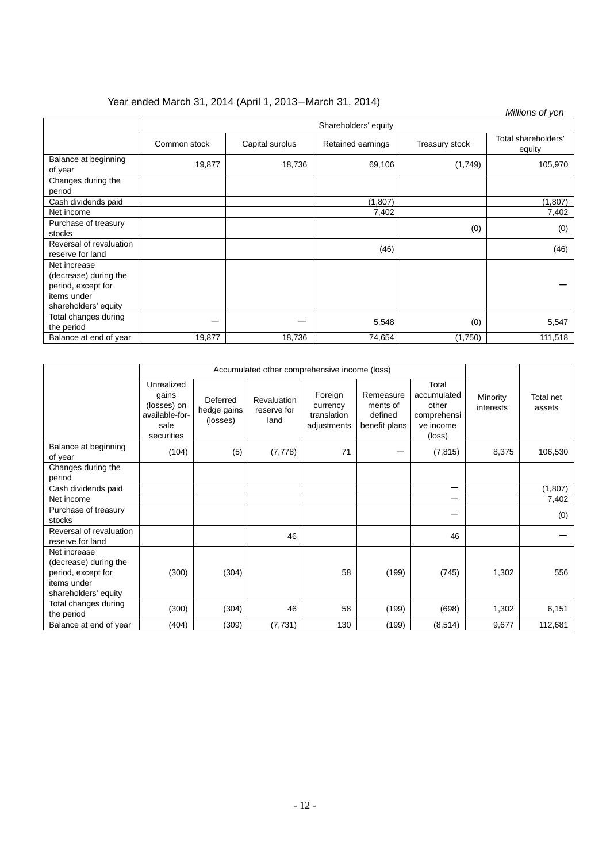# Year ended March 31, 2014 (April 1, 2013-March 31, 2014)

| 1911 ended March 31, 2014 (April 1, 2013–March 31, 2014)<br>Millions of yen |                      |                 |                   |                |                               |  |
|-----------------------------------------------------------------------------|----------------------|-----------------|-------------------|----------------|-------------------------------|--|
|                                                                             | Shareholders' equity |                 |                   |                |                               |  |
|                                                                             | Common stock         | Capital surplus | Retained earnings | Treasury stock | Total shareholders'<br>equity |  |
| Balance at beginning<br>of year                                             | 19,877               | 18,736          | 69,106            | (1,749)        | 105,970                       |  |
| Changes during the<br>period                                                |                      |                 |                   |                |                               |  |
| Cash dividends paid                                                         |                      |                 | (1, 807)          |                | (1, 807)                      |  |
| Net income                                                                  |                      |                 | 7,402             |                | 7,402                         |  |
| Purchase of treasury                                                        |                      |                 |                   | (0)            | (0)                           |  |
| stocks                                                                      |                      |                 |                   |                |                               |  |
| Reversal of revaluation                                                     |                      |                 | (46)              |                | (46)                          |  |
| reserve for land                                                            |                      |                 |                   |                |                               |  |
| Net increase                                                                |                      |                 |                   |                |                               |  |
| (decrease) during the                                                       |                      |                 |                   |                |                               |  |
| period, except for                                                          |                      |                 |                   |                |                               |  |
| items under                                                                 |                      |                 |                   |                |                               |  |
| shareholders' equity                                                        |                      |                 |                   |                |                               |  |
| Total changes during                                                        |                      |                 | 5,548             | (0)            | 5,547                         |  |
| the period                                                                  |                      |                 |                   |                |                               |  |
| Balance at end of year                                                      | 19,877               | 18,736          | 74,654            | (1,750)        | 111,518                       |  |

|                                                                                                    | Accumulated other comprehensive income (loss)                              |                                     |                                    |                                                   |                                                   |                                                                     |                       |                     |
|----------------------------------------------------------------------------------------------------|----------------------------------------------------------------------------|-------------------------------------|------------------------------------|---------------------------------------------------|---------------------------------------------------|---------------------------------------------------------------------|-----------------------|---------------------|
|                                                                                                    | Unrealized<br>qains<br>(losses) on<br>available-for-<br>sale<br>securities | Deferred<br>hedge gains<br>(losses) | Revaluation<br>reserve for<br>land | Foreign<br>currency<br>translation<br>adjustments | Remeasure<br>ments of<br>defined<br>benefit plans | Total<br>accumulated<br>other<br>comprehensi<br>ve income<br>(loss) | Minority<br>interests | Total net<br>assets |
| Balance at beginning<br>of year                                                                    | (104)                                                                      | (5)                                 | (7, 778)                           | 71                                                |                                                   | (7, 815)                                                            | 8,375                 | 106,530             |
| Changes during the<br>period                                                                       |                                                                            |                                     |                                    |                                                   |                                                   |                                                                     |                       |                     |
| Cash dividends paid                                                                                |                                                                            |                                     |                                    |                                                   |                                                   | —                                                                   |                       | (1,807)             |
| Net income                                                                                         |                                                                            |                                     |                                    |                                                   |                                                   | —                                                                   |                       | 7,402               |
| Purchase of treasury<br>stocks                                                                     |                                                                            |                                     |                                    |                                                   |                                                   |                                                                     |                       | (0)                 |
| Reversal of revaluation<br>reserve for land                                                        |                                                                            |                                     | 46                                 |                                                   |                                                   | 46                                                                  |                       |                     |
| Net increase<br>(decrease) during the<br>period, except for<br>items under<br>shareholders' equity | (300)                                                                      | (304)                               |                                    | 58                                                | (199)                                             | (745)                                                               | 1,302                 | 556                 |
| Total changes during<br>the period                                                                 | (300)                                                                      | (304)                               | 46                                 | 58                                                | (199)                                             | (698)                                                               | 1,302                 | 6,151               |
| Balance at end of year                                                                             | (404)                                                                      | (309)                               | (7, 731)                           | 130                                               | (199)                                             | (8, 514)                                                            | 9,677                 | 112,681             |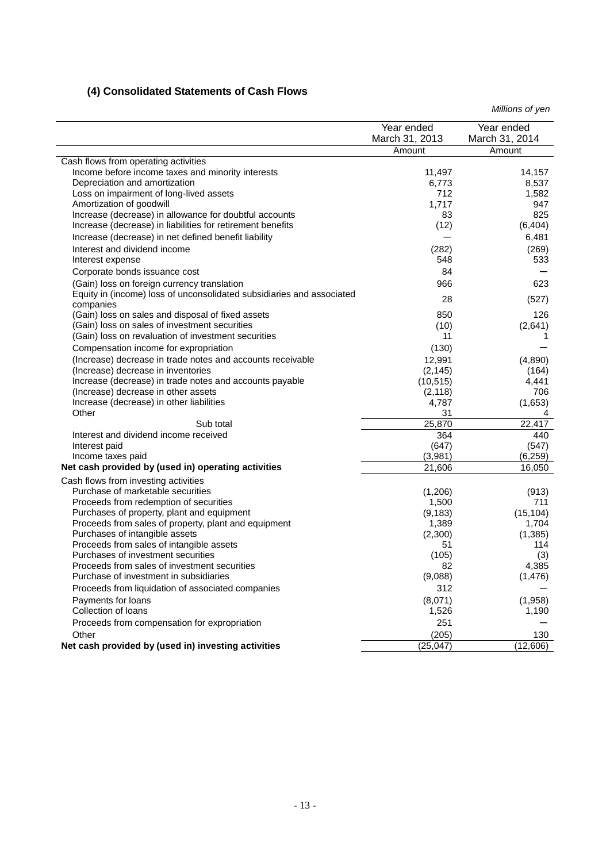# **(4) Consolidated Statements of Cash Flows**

|                                                                                        | Year ended<br>March 31, 2013 | Year ended<br>March 31, 2014 |
|----------------------------------------------------------------------------------------|------------------------------|------------------------------|
|                                                                                        | Amount                       | Amount                       |
| Cash flows from operating activities                                                   |                              |                              |
| Income before income taxes and minority interests                                      | 11,497                       | 14,157                       |
| Depreciation and amortization                                                          | 6,773                        | 8,537                        |
| Loss on impairment of long-lived assets                                                | 712                          | 1,582                        |
| Amortization of goodwill                                                               | 1,717                        | 947                          |
| Increase (decrease) in allowance for doubtful accounts                                 | 83                           | 825                          |
| Increase (decrease) in liabilities for retirement benefits                             | (12)                         | (6, 404)                     |
| Increase (decrease) in net defined benefit liability                                   |                              | 6,481                        |
| Interest and dividend income                                                           | (282)                        | (269)                        |
| Interest expense                                                                       | 548                          | 533                          |
| Corporate bonds issuance cost                                                          | 84                           |                              |
| (Gain) loss on foreign currency translation                                            | 966                          | 623                          |
| Equity in (income) loss of unconsolidated subsidiaries and associated                  | 28                           | (527)                        |
| companies                                                                              |                              |                              |
| (Gain) loss on sales and disposal of fixed assets                                      | 850                          | 126                          |
| (Gain) loss on sales of investment securities                                          | (10)                         | (2,641)                      |
| (Gain) loss on revaluation of investment securities                                    | 11                           | 1                            |
| Compensation income for expropriation                                                  | (130)                        |                              |
| (Increase) decrease in trade notes and accounts receivable                             | 12,991                       | (4,890)                      |
| (Increase) decrease in inventories                                                     | (2, 145)                     | (164)                        |
| Increase (decrease) in trade notes and accounts payable                                | (10, 515)                    | 4,441                        |
| (Increase) decrease in other assets                                                    | (2, 118)                     | 706                          |
| Increase (decrease) in other liabilities                                               | 4,787                        | (1,653)                      |
| Other                                                                                  | 31                           | 4                            |
| Sub total                                                                              | 25,870                       | 22,417                       |
| Interest and dividend income received                                                  | 364                          | 440                          |
| Interest paid                                                                          | (647)<br>(3,981)             | (547)<br>(6, 259)            |
| Income taxes paid<br>Net cash provided by (used in) operating activities               |                              |                              |
|                                                                                        | 21,606                       | 16,050                       |
| Cash flows from investing activities                                                   |                              |                              |
| Purchase of marketable securities                                                      | (1,206)                      | (913)                        |
| Proceeds from redemption of securities                                                 | 1,500                        | 711                          |
| Purchases of property, plant and equipment                                             | (9, 183)                     | (15, 104)                    |
| Proceeds from sales of property, plant and equipment<br>Purchases of intangible assets | 1,389<br>(2,300)             | 1,704<br>(1,385)             |
| Proceeds from sales of intangible assets                                               | 51                           | 114                          |
| Purchases of investment securities                                                     | (105)                        | (3)                          |
| Proceeds from sales of investment securities                                           | 82                           | 4,385                        |
| Purchase of investment in subsidiaries                                                 | (9,088)                      | (1, 476)                     |
| Proceeds from liquidation of associated companies                                      | 312                          |                              |
| Payments for loans                                                                     | (8,071)                      | (1,958)                      |
| Collection of loans                                                                    | 1,526                        | 1,190                        |
| Proceeds from compensation for expropriation                                           | 251                          |                              |
| Other                                                                                  |                              |                              |
|                                                                                        | (205)                        | 130                          |
| Net cash provided by (used in) investing activities                                    | (25, 047)                    | (12,606)                     |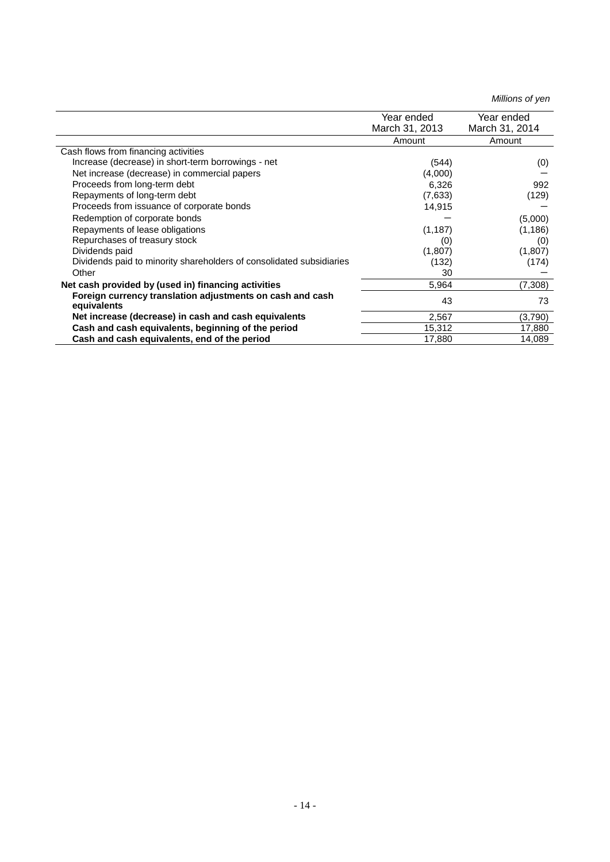|                                                                          | Year ended     | Year ended     |
|--------------------------------------------------------------------------|----------------|----------------|
|                                                                          | March 31, 2013 | March 31, 2014 |
|                                                                          | Amount         | Amount         |
| Cash flows from financing activities                                     |                |                |
| Increase (decrease) in short-term borrowings - net                       | (544)          | (0)            |
| Net increase (decrease) in commercial papers                             | (4,000)        |                |
| Proceeds from long-term debt                                             | 6,326          | 992            |
| Repayments of long-term debt                                             | (7,633)        | (129)          |
| Proceeds from issuance of corporate bonds                                | 14,915         |                |
| Redemption of corporate bonds                                            |                | (5,000)        |
| Repayments of lease obligations                                          | (1, 187)       | (1, 186)       |
| Repurchases of treasury stock                                            | (0)            | (0)            |
| Dividends paid                                                           | (1,807)        | (1,807)        |
| Dividends paid to minority shareholders of consolidated subsidiaries     | (132)          | (174)          |
| Other                                                                    | 30             |                |
| Net cash provided by (used in) financing activities                      | 5,964          | (7,308)        |
| Foreign currency translation adjustments on cash and cash<br>equivalents | 43             | 73             |
| Net increase (decrease) in cash and cash equivalents                     | 2,567          | (3,790)        |
| Cash and cash equivalents, beginning of the period                       | 15,312         | 17,880         |
| Cash and cash equivalents, end of the period                             | 17,880         | 14,089         |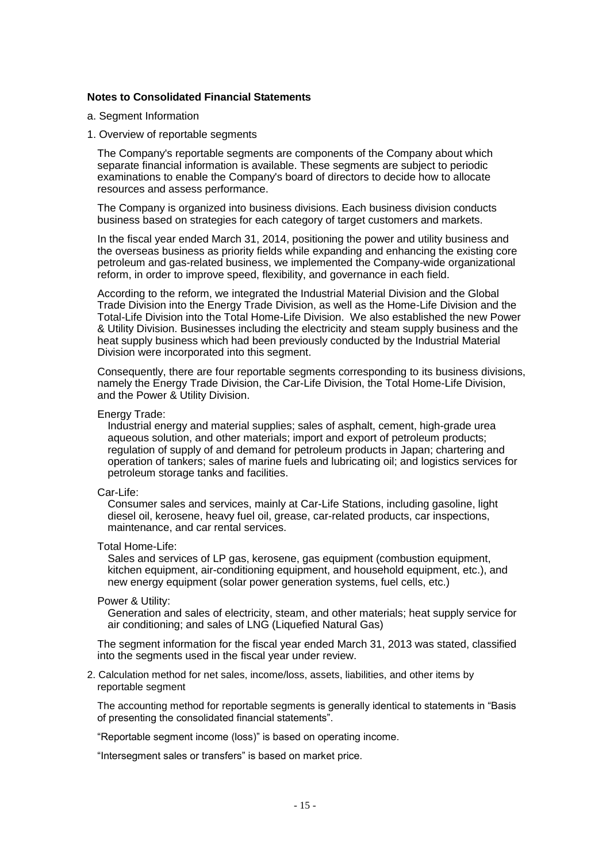## **Notes to Consolidated Financial Statements**

- a. Segment Information
- 1. Overview of reportable segments

The Company's reportable segments are components of the Company about which separate financial information is available. These segments are subject to periodic examinations to enable the Company's board of directors to decide how to allocate resources and assess performance.

The Company is organized into business divisions. Each business division conducts business based on strategies for each category of target customers and markets.

In the fiscal year ended March 31, 2014, positioning the power and utility business and the overseas business as priority fields while expanding and enhancing the existing core petroleum and gas-related business, we implemented the Company-wide organizational reform, in order to improve speed, flexibility, and governance in each field.

According to the reform, we integrated the Industrial Material Division and the Global Trade Division into the Energy Trade Division, as well as the Home-Life Division and the Total-Life Division into the Total Home-Life Division. We also established the new Power & Utility Division. Businesses including the electricity and steam supply business and the heat supply business which had been previously conducted by the Industrial Material Division were incorporated into this segment.

Consequently, there are four reportable segments corresponding to its business divisions, namely the Energy Trade Division, the Car-Life Division, the Total Home-Life Division, and the Power & Utility Division.

### Energy Trade:

Industrial energy and material supplies; sales of asphalt, cement, high-grade urea aqueous solution, and other materials; import and export of petroleum products; regulation of supply of and demand for petroleum products in Japan; chartering and operation of tankers; sales of marine fuels and lubricating oil; and logistics services for petroleum storage tanks and facilities.

### Car-Life:

Consumer sales and services, mainly at Car-Life Stations, including gasoline, light diesel oil, kerosene, heavy fuel oil, grease, car-related products, car inspections, maintenance, and car rental services.

#### Total Home-Life:

Sales and services of LP gas, kerosene, gas equipment (combustion equipment, kitchen equipment, air-conditioning equipment, and household equipment, etc.), and new energy equipment (solar power generation systems, fuel cells, etc.)

## Power & Utility:

Generation and sales of electricity, steam, and other materials; heat supply service for air conditioning; and sales of LNG (Liquefied Natural Gas)

The segment information for the fiscal year ended March 31, 2013 was stated, classified into the segments used in the fiscal year under review.

2. Calculation method for net sales, income/loss, assets, liabilities, and other items by reportable segment

The accounting method for reportable segments is generally identical to statements in "Basis of presenting the consolidated financial statements".

"Reportable segment income (loss)" is based on operating income.

"Intersegment sales or transfers" is based on market price.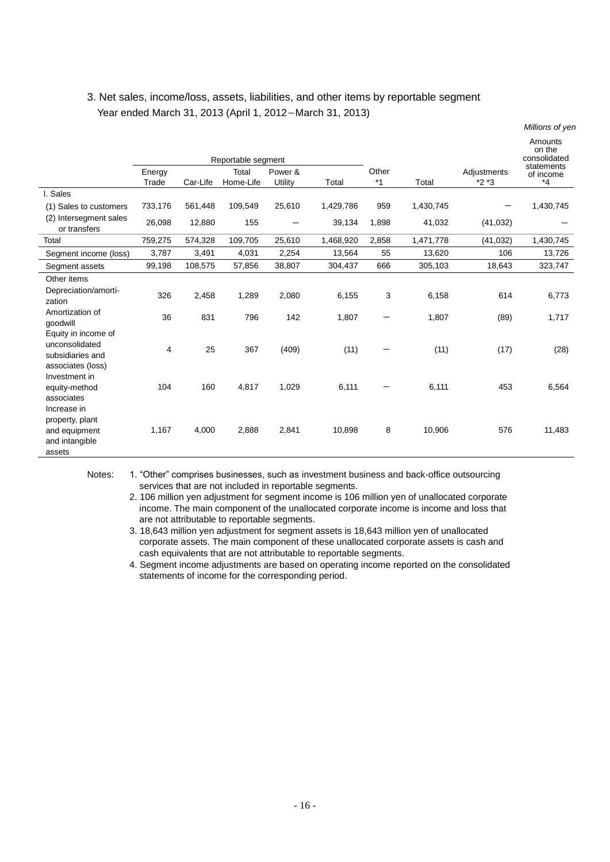# 3. Net sales, income/loss, assets, liabilities, and other items by reportable segment Year ended March 31, 2013 (April 1, 2012-March 31, 2013)

|                                                                                |         |          |                    |         |           |       |           |             | Millions of yen                                 |
|--------------------------------------------------------------------------------|---------|----------|--------------------|---------|-----------|-------|-----------|-------------|-------------------------------------------------|
|                                                                                |         |          | Reportable segment |         |           |       |           |             | Amounts<br>on the<br>consolidated<br>statements |
|                                                                                | Energy  |          | Total              | Power & |           | Other |           | Adjustments | of income                                       |
|                                                                                | Trade   | Car-Life | Home-Life          | Utility | Total     | $*1$  | Total     | $*2*3$      | $^*4$                                           |
| I. Sales                                                                       |         |          |                    |         |           |       |           |             |                                                 |
| (1) Sales to customers                                                         | 733,176 | 561,448  | 109,549            | 25,610  | 1,429,786 | 959   | 1,430,745 |             | 1,430,745                                       |
| (2) Intersegment sales<br>or transfers                                         | 26,098  | 12,880   | 155                |         | 39,134    | 1,898 | 41,032    | (41, 032)   |                                                 |
| Total                                                                          | 759,275 | 574,328  | 109,705            | 25,610  | 1,468,920 | 2,858 | 1,471,778 | (41, 032)   | 1,430,745                                       |
| Segment income (loss)                                                          | 3,787   | 3,491    | 4,031              | 2,254   | 13,564    | 55    | 13,620    | 106         | 13,726                                          |
| Segment assets                                                                 | 99,198  | 108,575  | 57,856             | 38,807  | 304,437   | 666   | 305,103   | 18,643      | 323,747                                         |
| Other items                                                                    |         |          |                    |         |           |       |           |             |                                                 |
| Depreciation/amorti-<br>zation                                                 | 326     | 2,458    | 1,289              | 2,080   | 6,155     | 3     | 6,158     | 614         | 6,773                                           |
| Amortization of<br>qoodwill                                                    | 36      | 831      | 796                | 142     | 1,807     | —     | 1,807     | (89)        | 1,717                                           |
| Equity in income of<br>unconsolidated<br>subsidiaries and<br>associates (loss) | 4       | 25       | 367                | (409)   | (11)      |       | (11)      | (17)        | (28)                                            |
| Investment in<br>equity-method<br>associates<br>Increase in                    | 104     | 160      | 4,817              | 1,029   | 6,111     |       | 6,111     | 453         | 6,564                                           |
| property, plant<br>and equipment<br>and intangible<br>assets                   | 1,167   | 4,000    | 2,888              | 2,841   | 10,898    | 8     | 10,906    | 576         | 11,483                                          |

Notes: 1. "Other" comprises businesses, such as investment business and back-office outsourcing services that are not included in reportable segments.

2. 106 million yen adjustment for segment income is 106 million yen of unallocated corporate income. The main component of the unallocated corporate income is income and loss that are not attributable to reportable segments.

3. 18,643 million yen adjustment for segment assets is 18,643 million yen of unallocated corporate assets. The main component of these unallocated corporate assets is cash and cash equivalents that are not attributable to reportable segments.

4. Segment income adjustments are based on operating income reported on the consolidated statements of income for the corresponding period.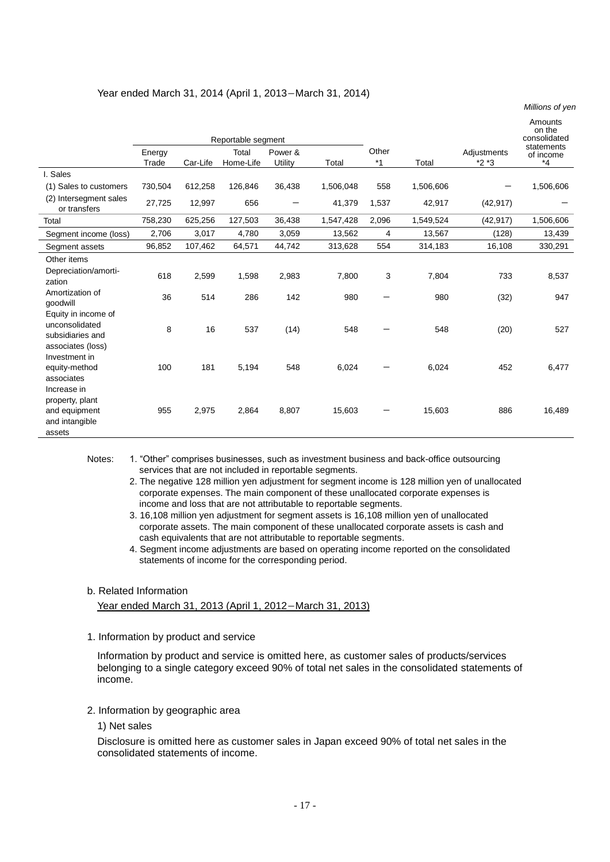|                                                                                |                 |          |                    |                    |           |         |           |                       | Millions of yen                                 |
|--------------------------------------------------------------------------------|-----------------|----------|--------------------|--------------------|-----------|---------|-----------|-----------------------|-------------------------------------------------|
|                                                                                |                 |          | Reportable segment |                    |           | Other   |           |                       | Amounts<br>on the<br>consolidated<br>statements |
|                                                                                | Energy<br>Trade | Car-Life | Total<br>Home-Life | Power &<br>Utility | Total     | $*_{1}$ | Total     | Adjustments<br>$*2*3$ | of income<br>$*_{4}$                            |
| I. Sales                                                                       |                 |          |                    |                    |           |         |           |                       |                                                 |
| (1) Sales to customers                                                         | 730,504         | 612,258  | 126,846            | 36,438             | 1,506,048 | 558     | 1,506,606 |                       | 1,506,606                                       |
| (2) Intersegment sales<br>or transfers                                         | 27,725          | 12,997   | 656                |                    | 41,379    | 1,537   | 42,917    | (42, 917)             |                                                 |
| Total                                                                          | 758,230         | 625,256  | 127,503            | 36,438             | 1,547,428 | 2,096   | 1,549,524 | (42, 917)             | 1,506,606                                       |
| Segment income (loss)                                                          | 2,706           | 3,017    | 4,780              | 3,059              | 13,562    | 4       | 13,567    | (128)                 | 13,439                                          |
| Segment assets                                                                 | 96,852          | 107,462  | 64,571             | 44,742             | 313,628   | 554     | 314,183   | 16,108                | 330,291                                         |
| Other items                                                                    |                 |          |                    |                    |           |         |           |                       |                                                 |
| Depreciation/amorti-<br>zation                                                 | 618             | 2,599    | 1,598              | 2,983              | 7,800     | 3       | 7,804     | 733                   | 8,537                                           |
| Amortization of<br>goodwill                                                    | 36              | 514      | 286                | 142                | 980       |         | 980       | (32)                  | 947                                             |
| Equity in income of<br>unconsolidated<br>subsidiaries and<br>associates (loss) | 8               | 16       | 537                | (14)               | 548       |         | 548       | (20)                  | 527                                             |
| Investment in<br>equity-method<br>associates<br>Increase in                    | 100             | 181      | 5,194              | 548                | 6,024     |         | 6,024     | 452                   | 6,477                                           |
| property, plant<br>and equipment<br>and intangible<br>assets                   | 955             | 2,975    | 2,864              | 8,807              | 15,603    |         | 15,603    | 886                   | 16,489                                          |

## Year ended March 31, 2014 (April 1, 2013-March 31, 2014)

Notes: 1. "Other" comprises businesses, such as investment business and back-office outsourcing services that are not included in reportable segments.

2. The negative 128 million yen adjustment for segment income is 128 million yen of unallocated corporate expenses. The main component of these unallocated corporate expenses is income and loss that are not attributable to reportable segments.

- 3. 16,108 million yen adjustment for segment assets is 16,108 million yen of unallocated corporate assets. The main component of these unallocated corporate assets is cash and cash equivalents that are not attributable to reportable segments.
- 4. Segment income adjustments are based on operating income reported on the consolidated statements of income for the corresponding period.

### b. Related Information

Year ended March 31, 2013 (April 1, 2012-March 31, 2013)

1. Information by product and service

Information by product and service is omitted here, as customer sales of products/services belonging to a single category exceed 90% of total net sales in the consolidated statements of income.

- 2. Information by geographic area
	- 1) Net sales

Disclosure is omitted here as customer sales in Japan exceed 90% of total net sales in the consolidated statements of income.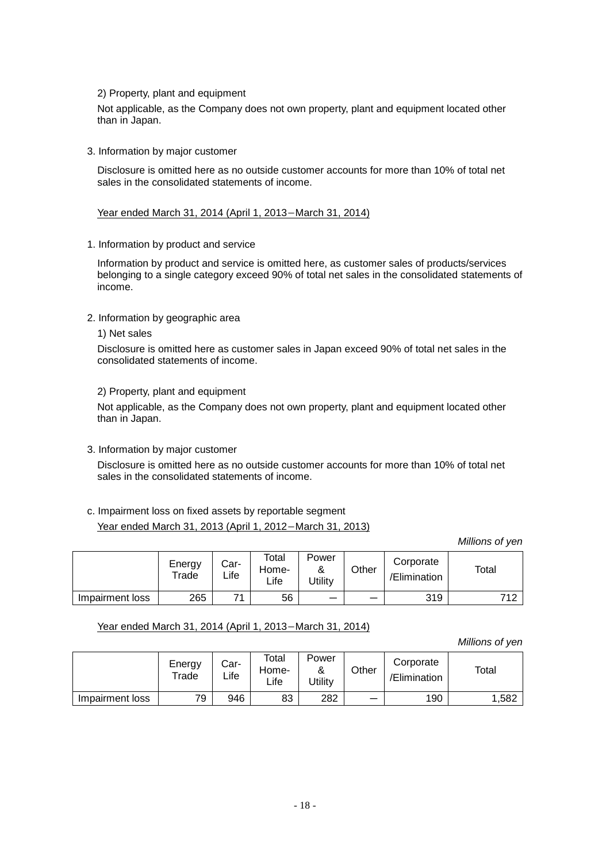2) Property, plant and equipment

Not applicable, as the Company does not own property, plant and equipment located other than in Japan.

3. Information by major customer

Disclosure is omitted here as no outside customer accounts for more than 10% of total net sales in the consolidated statements of income.

## Year ended March 31, 2014 (April 1, 2013-March 31, 2014)

1. Information by product and service

Information by product and service is omitted here, as customer sales of products/services belonging to a single category exceed 90% of total net sales in the consolidated statements of income.

- 2. Information by geographic area
	- 1) Net sales

Disclosure is omitted here as customer sales in Japan exceed 90% of total net sales in the consolidated statements of income.

2) Property, plant and equipment

Not applicable, as the Company does not own property, plant and equipment located other than in Japan.

3. Information by major customer

Disclosure is omitted here as no outside customer accounts for more than 10% of total net sales in the consolidated statements of income.

c. Impairment loss on fixed assets by reportable segment Year ended March 31, 2013 (April 1, 2012-March 31, 2013)

*Millions of yen*

|                 | Energy<br>Trade | Car-<br>∟ife | Total<br>Home-<br>Life | Power<br>$\alpha$<br><b>Jtility</b> | Other | Corporate<br>/Elimination | Total |
|-----------------|-----------------|--------------|------------------------|-------------------------------------|-------|---------------------------|-------|
| Impairment loss | 265             | 74           | 56                     | –                                   |       | 319                       | 712   |

# Year ended March 31, 2014 (April 1, 2013-March 31, 2014)

|                 | Energy<br>Trade | Car-<br>∟ife | Total<br>Home-<br>∟ife | Power<br>$\alpha$<br>Jtility | Other | Corporate<br>/Elimination | Total |
|-----------------|-----------------|--------------|------------------------|------------------------------|-------|---------------------------|-------|
| Impairment loss | 79              | 946          | 83                     | 282                          |       | 190                       | ,582  |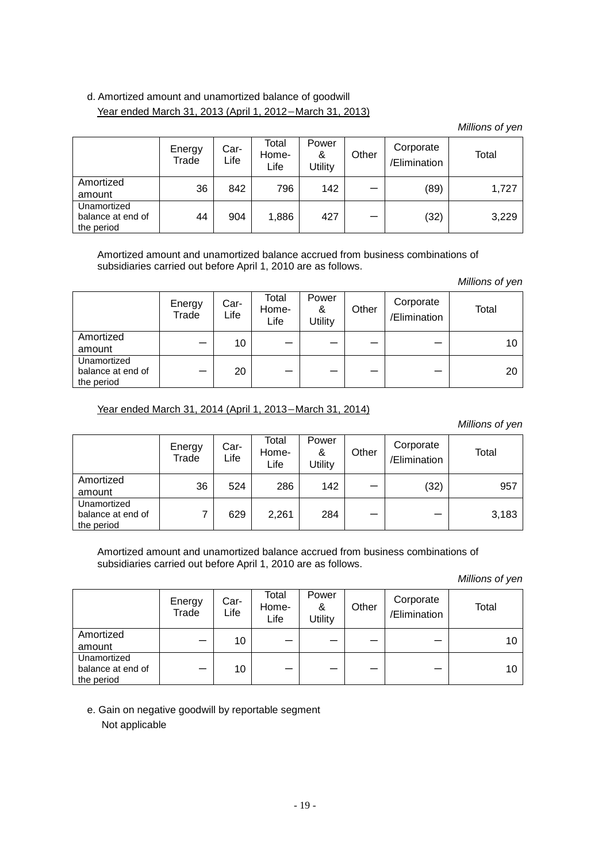# d. Amortized amount and unamortized balance of goodwill Year ended March 31, 2013 (April 1, 2012-March 31, 2013)

*Millions of yen*

|                                                | Energy<br>Trade | Car-<br>Life | Total<br>Home-<br>Life | Power<br>&<br><b>Jtility</b> | Other | Corporate<br>/Elimination | Total |
|------------------------------------------------|-----------------|--------------|------------------------|------------------------------|-------|---------------------------|-------|
| Amortized<br>amount                            | 36              | 842          | 796                    | 142                          | -     | (89)                      | 1,727 |
| Unamortized<br>balance at end of<br>the period | 44              | 904          | 1,886                  | 427                          | –     | (32)                      | 3,229 |

Amortized amount and unamortized balance accrued from business combinations of subsidiaries carried out before April 1, 2010 are as follows.

*Millions of yen*

|                                                | Energy<br>Trade | Car-<br>Life | Total<br>Home-<br>Life | Power<br>&<br>Utility | Other | Corporate<br>/Elimination | Total |
|------------------------------------------------|-----------------|--------------|------------------------|-----------------------|-------|---------------------------|-------|
| Amortized<br>amount                            |                 | 10           |                        |                       |       |                           | 10    |
| Unamortized<br>balance at end of<br>the period | –               | 20           |                        | _                     | –     |                           | 20    |

Year ended March 31, 2014 (April 1, 2013-March 31, 2014)

*Millions of yen*

|                                                | Energy<br>Trade | Car-<br>Life | Total<br>Home-<br>Life | Power<br>&<br><b>Utility</b> | Other | Corporate<br>/Elimination | Total |
|------------------------------------------------|-----------------|--------------|------------------------|------------------------------|-------|---------------------------|-------|
| Amortized<br>amount                            | 36              | 524          | 286                    | 142                          |       | (32)                      | 957   |
| Unamortized<br>balance at end of<br>the period |                 | 629          | 2,261                  | 284                          | –     | -                         | 3,183 |

Amortized amount and unamortized balance accrued from business combinations of subsidiaries carried out before April 1, 2010 are as follows.

*Millions of yen*

|                                                | Energy<br>Trade | Car-<br>Life | Total<br>Home-<br>Life | Power<br>&<br><b>Utility</b> | Other | Corporate<br>/Elimination | Total |
|------------------------------------------------|-----------------|--------------|------------------------|------------------------------|-------|---------------------------|-------|
| Amortized<br>amount                            |                 | 10           |                        |                              |       |                           | 10    |
| Unamortized<br>balance at end of<br>the period | –               | 10           |                        |                              |       |                           | 10    |

e. Gain on negative goodwill by reportable segment Not applicable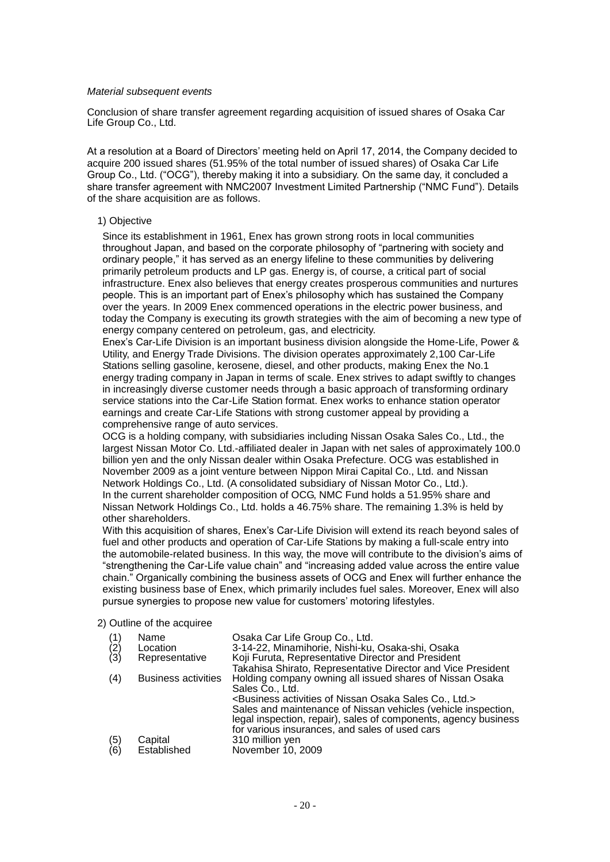### *Material subsequent events*

Conclusion of share transfer agreement regarding acquisition of issued shares of Osaka Car Life Group Co., Ltd.

At a resolution at a Board of Directors' meeting held on April 17, 2014, the Company decided to acquire 200 issued shares (51.95% of the total number of issued shares) of Osaka Car Life Group Co., Ltd. ("OCG"), thereby making it into a subsidiary. On the same day, it concluded a share transfer agreement with NMC2007 Investment Limited Partnership ("NMC Fund"). Details of the share acquisition are as follows.

## 1) Objective

Since its establishment in 1961, Enex has grown strong roots in local communities throughout Japan, and based on the corporate philosophy of "partnering with society and ordinary people," it has served as an energy lifeline to these communities by delivering primarily petroleum products and LP gas. Energy is, of course, a critical part of social infrastructure. Enex also believes that energy creates prosperous communities and nurtures people. This is an important part of Enex's philosophy which has sustained the Company over the years. In 2009 Enex commenced operations in the electric power business, and today the Company is executing its growth strategies with the aim of becoming a new type of energy company centered on petroleum, gas, and electricity.

Enex's Car-Life Division is an important business division alongside the Home-Life, Power & Utility, and Energy Trade Divisions. The division operates approximately 2,100 Car-Life Stations selling gasoline, kerosene, diesel, and other products, making Enex the No.1 energy trading company in Japan in terms of scale. Enex strives to adapt swiftly to changes in increasingly diverse customer needs through a basic approach of transforming ordinary service stations into the Car-Life Station format. Enex works to enhance station operator earnings and create Car-Life Stations with strong customer appeal by providing a comprehensive range of auto services.

OCG is a holding company, with subsidiaries including Nissan Osaka Sales Co., Ltd., the largest Nissan Motor Co. Ltd.-affiliated dealer in Japan with net sales of approximately 100.0 billion yen and the only Nissan dealer within Osaka Prefecture. OCG was established in November 2009 as a joint venture between Nippon Mirai Capital Co., Ltd. and Nissan Network Holdings Co., Ltd. (A consolidated subsidiary of Nissan Motor Co., Ltd.). In the current shareholder composition of OCG, NMC Fund holds a 51.95% share and Nissan Network Holdings Co., Ltd. holds a 46.75% share. The remaining 1.3% is held by other shareholders.

With this acquisition of shares, Enex's Car-Life Division will extend its reach beyond sales of fuel and other products and operation of Car-Life Stations by making a full-scale entry into the automobile-related business. In this way, the move will contribute to the division's aims of "strengthening the Car-Life value chain" and "increasing added value across the entire value chain." Organically combining the business assets of OCG and Enex will further enhance the existing business base of Enex, which primarily includes fuel sales. Moreover, Enex will also pursue synergies to propose new value for customers' motoring lifestyles.

### 2) Outline of the acquiree

| $\binom{2}{3}$ | Name<br>Location<br>Representative | Osaka Car Life Group Co., Ltd.<br>3-14-22, Minamihorie, Nishi-ku, Osaka-shi, Osaka<br>Koji Furuta, Representative Director and President<br>Takahisa Shirato, Representative Director and Vice President                                                                                                                                                      |
|----------------|------------------------------------|---------------------------------------------------------------------------------------------------------------------------------------------------------------------------------------------------------------------------------------------------------------------------------------------------------------------------------------------------------------|
| (4)            | <b>Business activities</b>         | Holding company owning all issued shares of Nissan Osaka<br>Sales Co., Ltd.<br><business activities="" co.,="" ltd.="" nissan="" of="" osaka="" sales=""><br/>Sales and maintenance of Nissan vehicles (vehicle inspection,<br/>legal inspection, repair), sales of components, agency business<br/>for various insurances, and sales of used cars</business> |
| (5)<br>(6)     | Capital<br>Established             | 310 million yen<br>November 10, 2009                                                                                                                                                                                                                                                                                                                          |